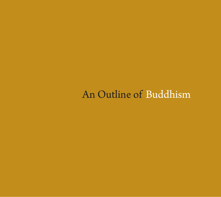# An Outline of Buddhism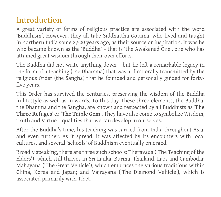### Introduction

A great variety of forms of religious practice are associated with the word 'Buddhism'. However, they all take Siddhattha Gotama, who lived and taught in northern India some 2,500 years ago, as their source or inspiration. It was he who became known as the 'Buddha' – that is 'the Awakened One', one who has attained great wisdom through their own efforts.

The Buddha did not write anything down – but he left a remarkable legacy in the form of a teaching (the Dhamma) that was at first orally transmitted by the religious Order (the Sangha) that he founded and personally guided for fortyfive years.

This Order has survived the centuries, preserving the wisdom of the Buddha in lifestyle as well as in words. To this day, these three elements, the Buddha, the Dhamma and the Sangha, are known and respected by all Buddhists as '**The Three Refuges**' or '**The Triple Gem**'. They have also come to symbolize Wisdom, Truth and Virtue – qualities that we can develop in ourselves.

After the Buddha's time, his teaching was carried from India throughout Asia, and even further. As it spread, it was affected by its encounters with local cultures, and several 'schools' of Buddhism eventually emerged.

Broadly speaking, there are three such schools: Theravada ('The Teaching of the Elders'), which still thrives in Sri Lanka, Burma, Thailand, Laos and Cambodia; Mahayana ('The Great Vehicle'), which embraces the various traditions within China, Korea and Japan; and Vajrayana ('The Diamond Vehicle'), which is associated primarily with Tibet.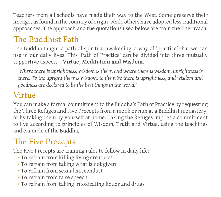Teachers from all schools have made their way to the West. Some preserve their lineages as found in the country of origin, while others have adopted less traditional approaches. The approach and the quotations used below are from the Theravada.

## The Buddhist Path

The Buddha taught a path of spiritual awakening, a way of 'practice' that we can use in our daily lives. This 'Path of Practice' can be divided into three mutually supportive aspects – **Virtue, Meditation and Wisdom**.

*'Where there is uprightness, wisdom is there, and where there is wisdom, uprightness is there. To the upright there is wisdom, to the wise there is uprightness, and wisdom and goodness are declared to be the best things in the world.'*

### Virtue

You can make a formal commitment to the Buddha's Path of Practice by requesting the Three Refuges and Five Precepts from a monk or nun at a Buddhist monastery, or by taking them by yourself at home. Taking the Refuges implies a commitment to live according to principles of Wisdom, Truth and Virtue, using the teachings and example of the Buddha.

## The Five Precepts

The Five Precepts are training rules to follow in daily life:

- To refrain from killing living creatures
- To refrain from taking what is not given
- To refrain from sexual misconduct
- To refrain from false speech
- To refrain from taking intoxicating liquor and drugs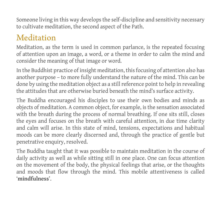Someone living in this way develops the self-discipline and sensitivity necessary to cultivate meditation, the second aspect of the Path.

### Meditation

Meditation, as the term is used in common parlance, is the repeated focusing of attention upon an image, a word, or a theme in order to calm the mind and consider the meaning of that image or word.

In the Buddhist practice of insight meditation, this focusing of attention also has another purpose – to more fully understand the nature of the mind. This can be done by using the meditation object as a still reference point to help in revealing the attitudes that are otherwise buried beneath the mind's surface activity.

The Buddha encouraged his disciples to use their own bodies and minds as objects of meditation. A common object, for example, is the sensation associated with the breath during the process of normal breathing. If one sits still, closes the eyes and focuses on the breath with careful attention, in due time clarity and calm will arise. In this state of mind, tensions, expectations and habitual moods can be more clearly discerned and, through the practice of gentle but penetrative enquiry, resolved.

The Buddha taught that it was possible to maintain meditation in the course of daily activity as well as while sitting still in one place. One can focus attention on the movement of the body, the physical feelings that arise, or the thoughts and moods that flow through the mind. This mobile attentiveness is called '**mindfulness**'.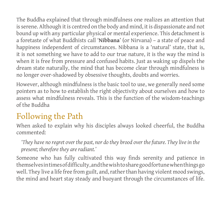The Buddha explained that through mindfulness one realizes an attention that is serene. Although it is centred on the body and mind, it is dispassionate and not bound up with any particular physical or mental experience. This detachment is a foretaste of what Buddhists call '**Nibbana**' (or Nirvana) – a state of peace and happiness independent of circumstances. Nibbana is a 'natural' state, that is, it is not something we have to add to our true nature, it is the way the mind is when it is free from pressure and confused habits. Just as waking up dispels the dream state naturally, the mind that has become clear through mindfulness is no longer over-shadowed by obsessive thoughts, doubts and worries.

However, although mindfulness is the basic tool to use, we generally need some pointers as to how to establish the right objectivity about ourselves and how to assess what mindfulness reveals. This is the function of the wisdom-teachings of the Buddha

### Following the Path

When asked to explain why his disciples always looked cheerful, the Buddha commented:

*'They have no regret over the past, nor do they brood over the future. They live in the present; therefore they are radiant.'*

Someone who has fully cultivated this way finds serenity and patience in themselves in times of difficulty, and the wish to share good fortune when things go well. They live a life free from guilt, and, rather than having violent mood swings, the mind and heart stay steady and buoyant through the circumstances of life.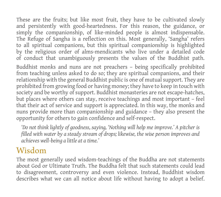These are the fruits; but like most fruit, they have to be cultivated slowly and persistently with good-heartedness. For this reason, the guidance, or simply the companionship, of like-minded people is almost indispensable. The Refuge of Sangha is a reflection on this. Most generally, 'Sangha' refers to all spiritual companions, but this spiritual companionship is highlighted by the religious order of alms-mendicants who live under a detailed code of conduct that unambiguously presents the values of the Buddhist path.

Buddhist monks and nuns are not preachers – being specifically prohibited from teaching unless asked to do so; they are spiritual companions, and their relationship with the general Buddhist public is one of mutual support. They are prohibited from growing food or having money; they have to keep in touch with society and be worthy of support. Buddhist monasteries are not escape-hatches, but places where others can stay, receive teachings and most important – feel that their act of service and support is appreciated. In this way, the monks and nuns provide more than companionship and guidance – they also present the opportunity for others to gain confidence and self-respect.

*'Do not think lightly of goodness, saying, 'Nothing will help me improve.' A pitcher is filled with water by a steady stream of drops; likewise, the wise person improves and achieves well-being a little at a time.'*

### Wisdom

The most generally used wisdom-teachings of the Buddha are not statements about God or Ultimate Truth. The Buddha felt that such statements could lead to disagreement, controversy and even violence. Instead, Buddhist wisdom describes what we can all notice about life without having to adopt a belief.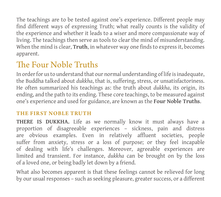The teachings are to be tested against one's experience. Different people may find different ways of expressing Truth; what really counts is the validity of the experience and whether it leads to a wiser and more compassionate way of living. The teachings then serve as tools to clear the mind of misunderstanding. When the mind is clear, **Truth**, in whatever way one finds to express it, becomes apparent.

## The Four Noble Truths

In order for us to understand that our normal understanding of life is inadequate, the Buddha talked about *dukkha*, that is, suffering, stress, or unsatisfactoriness. He often summarized his teachings as: the truth about *dukkha*, its origin, its ending, and the path to its ending. These core teachings, to be measured against one's experience and used for guidance, are known as the **Four Noble Truths**.

#### THE FIRST NOBLE TRUTH

**THERE IS DUKKHA.** Life as we normally know it must always have a proportion of disagreeable experiences – sickness, pain and distress are obvious examples. Even in relatively affluent societies, people suffer from anxiety, stress or a loss of purpose; or they feel incapable of dealing with life's challenges. Moreover, agreeable experiences are limited and transient. For instance, *dukkha* can be brought on by the loss of a loved one, or being badly let down by a friend.

What also becomes apparent is that these feelings cannot be relieved for long by our usual responses – such as seeking pleasure, greater success, or a different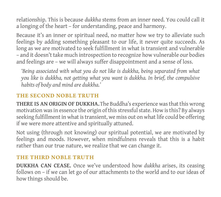relationship. This is because *dukkha* stems from an inner need. You could call it a longing of the heart – for understanding, peace and harmony.

Because it's an inner or spiritual need, no matter how we try to alleviate such feelings by adding something pleasant to our life, it never quite succeeds. As long as we are motivated to seek fulfillment in what is transient and vulnerable – and it doesn't take much introspection to recognize how vulnerable our bodies and feelings are – we will always suffer disappointment and a sense of loss.

*'Being associated with what you do not like is dukkha, being separated from what you like is dukkha, not getting what you want is dukkha. In brief, the compulsive habits of body and mind are dukkha.'*

#### THE SECOND NOBLE TRUTH

**THERE IS AN ORIGIN OF DUKKHA.** The Buddha's experience was that this wrong motivation was in essence the origin of this stressful state. How is this? By always seeking fulfillment in what is transient, we miss out on what life could be offering if we were more attentive and spiritually attuned.

Not using (through not knowing) our spiritual potential, we are motivated by feelings and moods. However, when mindfulness reveals that this is a habit rather than our true nature, we realize that we can change it.

#### THE THIRD NOBLE TRUTH

**DUKKHA CAN CEASE.** Once we've understood how *dukkha* arises, its ceasing follows on – if we can let go of our attachments to the world and to our ideas of how things should be.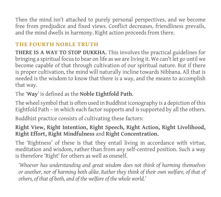Then the mind isn't attached to purely personal perspectives, and we become free from predjudice and fixed views. Conflict decreases, friendliness prevails, and the mind dwells in harmony. Right action proceeds from there.

#### THE FOURTH NOBLE TRUTH

**THERE IS A WAY TO STOP DUKKHA.** This involves the practical guidelines for bringing a spiritual focus to bear on life as we are living it. We can't let go until we become capable of that through cultivation of our spiritual nature. But if there is proper cultivation, the mind will naturally incline towards Nibbana. All that is needed is the wisdom to know that there is a way, and the means to accomplish that way.

### The '**Way**' is defined as the **Noble Eightfold Path**.

The wheel symbol that is often used in Buddhist iconography is a depiction of this Eightfold Path – in which each factor supports and is supported by all the others.

Buddhist practice consists of cultivating these factors:

#### **Right View, Right Intention, Right Speech, Right Action, Right Livelihood, Right Effort, Right Mindfulness** and **Right Concentration.**

The 'Rightness' of these is that they entail living in accordance with virtue, meditation and wisdom, rather than from any self-centred position. Such a way is therefore 'Right' for others as well as oneself.

*'Whoever has understanding and great wisdom does not think of harming themselves or another, nor of harming both alike. Rather they think of their own welfare, of that of others, of that of both, and of the welfare of the whole world.'*